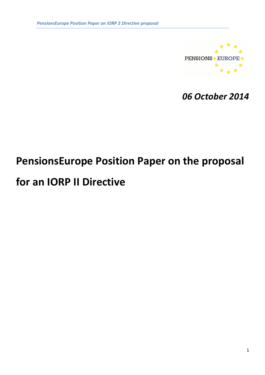

06 October 2014

# PensionsEurope Position Paper on the proposal

# for an IORP II Directive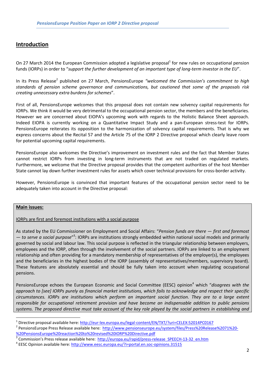# Introduction

On 27 March 2014 the European Commission adopted a legislative proposal<sup>1</sup> for new rules on occupational pension funds (IORPs) in order to "support the further development of an important type of long-term investor in the EU".

In its Press Release<sup>2</sup> published on 27 March, PensionsEurope "welcomed the Commission's commitment to high standards of pension scheme governance and communications, but cautioned that some of the proposals risk creating unnecessary extra burdens for schemes".

First of all, PensionsEurope welcomes that this proposal does not contain new solvency capital requirements for IORPs. We think it would be very detrimental to the occupational pension sector, the members and the beneficiaries. However we are concerned about EIOPA's upcoming work with regards to the Holistic Balance Sheet approach. Indeed EIOPA is currently working on a Quantitative Impact Study and a pan-European stress-test for IORPs. PensionsEurope reiterates its opposition to the harmonization of solvency capital requirements. That is why we express concerns about the Recital 57 and the Article 75 of the IORP 2 Directive proposal which clearly leave room for potential upcoming capital requirements.

PensionsEurope also welcomes the Directive's improvement on investment rules and the fact that Member States cannot restrict IORPs from investing in long-term instruments that are not traded on regulated markets. Furthermore, we welcome that the Directive proposal provides that the competent authorities of the host Member State cannot lay down further investment rules for assets which cover technical provisions for cross-border activity.

However, PensionsEurope is convinced that important features of the occupational pension sector need to be adequately taken into account in the Directive proposal:

## Main issues:

 $\overline{a}$ 

#### IORPs are first and foremost institutions with a social purpose

As stated by the EU Commissioner on Employment and Social Affairs: "Pension funds are there – first and foremost - to serve a social purpose"<sup>3</sup>: IORPs are institutions strongly embedded within national social models and primarily governed by social and labour law. This social purpose is reflected in the triangular relationship between employers, employees and the IORP, often through the involvement of the social partners. IORPs are linked to an employment relationship and often providing for a mandatory membership of representatives of the employer(s), the employees and the beneficiaries in the highest bodies of the IORP (assembly of representatives/members, supervisory board). These features are absolutely essential and should be fully taken into account when regulating occupational pensions.

PensionsEurope echoes the European Economic and Social Committee (EESC) opinion<sup>4</sup> which "disagrees with the approach to [see] IORPs purely as financial market institutions, which fails to acknowledge and respect their specific circumstances. IORPs are institutions which perform an important social function. They are to a large extent responsible for occupational retirement provision and have become an indispensable addition to public pensions systems. The proposed directive must take account of the key role played by the social partners in establishing and

<sup>&</sup>lt;sup>1</sup> Directive proposal available here: http://eur-lex.europa.eu/legal-content/EN/TXT/?uri=CELEX:52014PC0167

<sup>&</sup>lt;sup>2</sup> PensionsEurope Press Release available here: http://www.pensionseurope.eu/system/files/Press%20Release%2071%20-%20PensionsEurope%20reaction%20to%20revised%20IORP%20Directive.pdf

<sup>3</sup> Commission's Press release available here: http://europa.eu/rapid/press-release SPEECH-13-32 en.htm

<sup>&</sup>lt;sup>4</sup> EESC Opinion available here: http://www.eesc.europa.eu/?i=portal.en.soc-opinions.31515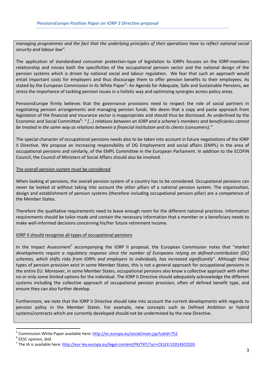managing programmes and the fact that the underlying principles of their operations have to reflect national social security and labour law".

The application of standardised consumer protection-type of legislation to IORPs focuses on the IORP-members relationship and misses both the specificities of the occupational pension sector and the national design of the pension systems which is driven by national social and labour regulation. We fear that such an approach would entail important costs for employers and thus discourage them to offer pension benefits to their employees. As stated by the European Commission in its White Paper<sup>5</sup>: An Agenda for Adequate, Safe and Sustainable Pensions, we stress the importance of tackling pension issues in a holistic way and optimizing synergies across policy areas.

PensionsEurope firmly believes that the governance provisions need to respect the role of social partners in negotiating pension arrangements and managing pension funds. We deem that a copy and paste approach from legislation of the financial and insurance sector is inappropriate and should thus be dismissed. As underlined by the Economic and Social Committee<sup>6</sup>: " [...] relations between an IORP and a scheme's members and beneficiaries cannot be treated in the same way as relations between a financial institution and its clients (consumers)."

The special character of occupational pensions needs also to be taken into account in future negotiations of the IORP II Directive. We propose an increasing responsibility of DG Employment and social affairs (EMPL) in the area of occupational pensions and similarly, of the EMPL Committee in the European Parliament. In addition to the ECOFIN Council, the Council of Ministers of Social Affairs should also be involved.

## The overall pension system must be considered

When looking at pensions, the overall pension system of a country has to be considered. Occupational pensions can never be looked at without taking into account the other pillars of a national pension system. The organisation, design and establishment of pension systems (therefore including occupational pension pillar) are a competence of the Member States.

Therefore the qualitative requirements need to leave enough room for the different national practices. Information requirements should be tailor-made and contain the necessary information that a member or a beneficiary needs to make well-informed decisions concerning his/her future retirement income.

#### IORP II should recognise all types of occupational pensions

In the Impact Assessment<sup>7</sup> accompanying the IORP II proposal, the European Commission notes that "market developments require a regulatory response since the number of Europeans relying on defined-contribution (DC) schemes, which shifts risks from IORPs and employers to individuals, has increased significantly". Although these types of pension provision exist in some Member States, this is not a general approach for occupational pensions in the entire EU. Moreover, in some Member States, occupational pensions also know a collective approach with either no or only some limited options for the individual. The IORP II Directive should adequately acknowledge the different systems including the collective approach of occupational pension provision, often of defined benefit type, and ensure they can also further develop.

Furthermore, we note that the IORP II Directive should take into account the current developments with regards to pension policy in the Member States. For example, new concepts such as Defined Ambition or hybrid systems/contracts which are currently developed should not be undermined by the new Directive.

 $\overline{a}$ 

<sup>5</sup> Commission White Paper available here: http://ec.europa.eu/social/main.jsp?catId=752

<sup>&</sup>lt;sup>6</sup> EESC opinion, *ibid*.

<sup>&</sup>lt;sup>7</sup> The IA is available here: http://eur-lex.europa.eu/legal-content/FR/TXT/?uri=CELEX:52014SC0103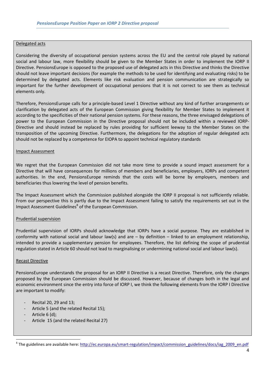#### Delegated acts

Considering the diversity of occupational pension systems across the EU and the central role played by national social and labour law, more flexibility should be given to the Member States in order to implement the IORP II Directive. PensionsEurope is opposed to the proposed use of delegated acts in this Directive and thinks the Directive should not leave important decisions (for example the methods to be used for identifying and evaluating risks) to be determined by delegated acts. Elements like risk evaluation and pension communication are strategically so important for the further development of occupational pensions that it is not correct to see them as technical elements only.

Therefore, PensionsEurope calls for a principle-based Level 1 Directive without any kind of further arrangements or clarification by delegated acts of the European Commission giving flexibility for Member States to implement it according to the specificities of their national pension systems. For these reasons, the three envisaged delegations of power to the European Commission in the Directive proposal should not be included within a reviewed IORP-Directive and should instead be replaced by rules providing for sufficient leeway to the Member States on the transposition of the upcoming Directive. Furthermore, the delegations for the adoption of regular delegated acts should not be replaced by a competence for EIOPA to appoint technical regulatory standards

#### Impact Assessment

We regret that the European Commission did not take more time to provide a sound impact assessment for a Directive that will have consequences for millions of members and beneficiaries, employers, IORPs and competent authorities. In the end, PensionsEurope reminds that the costs will be borne by employers, members and beneficiaries thus lowering the level of pension benefits.

The Impact Assessment which the Commission published alongside the IORP II proposal is not sufficiently reliable. From our perspective this is partly due to the Impact Assessment failing to satisfy the requirements set out in the Impact Assessment Guidelines<sup>8</sup> of the European Commission.

#### Prudential supervision

Prudential supervision of IORPs should acknowledge that IORPs have a social purpose. They are established in conformity with national social and labour law(s) and are  $-$  by definition  $-$  linked to an employment relationship, intended to provide a supplementary pension for employees. Therefore, the list defining the scope of prudential regulation stated in Article 60 should not lead to marginalising or undermining national social and labour law(s).

#### Recast Directive

PensionsEurope understands the proposal for an IORP II Directive is a recast Directive. Therefore, only the changes proposed by the European Commission should be discussed. However, because of changes both in the legal and economic environment since the entry into force of IORP I, we think the following elements from the IORP I Directive are important to modify:

- Recital 20, 29 and 13;
- Article 5 (and the related Recital 15);
- Article 6 (d);

 $\overline{a}$ 

Article 15 (and the related Recital 27)

<sup>&</sup>lt;sup>8</sup> The guidelines are available here: http://ec.europa.eu/smart-regulation/impact/commission\_guidelines/docs/iag\_2009\_en.pdf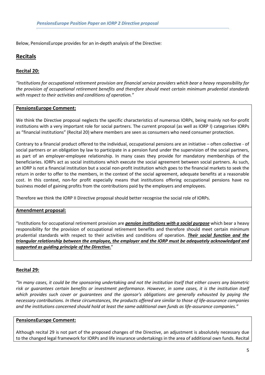Below, PensionsEurope provides for an in-depth analysis of the Directive:

# Recitals

## Recital 20:

"Institutions for occupational retirement provision are financial service providers which bear a heavy responsibility for the provision of occupational retirement benefits and therefore should meet certain minimum prudential standards with respect to their activities and conditions of operation."

## PensionsEurope Comment:

We think the Directive proposal neglects the specific characteristics of numerous IORPs, being mainly not-for-profit institutions with a very important role for social partners. The current proposal (as well as IORP I) categorises IORPs as "financial institutions" (Recital 20) where members are seen as consumers who need consumer protection.

Contrary to a financial product offered to the individual, occupational pensions are an initiative – often collective - of social partners or an obligation by law to participate in a pension fund under the supervision of the social partners, as part of an employer-employee relationship. In many cases they provide for mandatory memberships of the beneficiaries. IORPs act as social institutions which execute the social agreement between social partners. As such, an IORP is not a financial institution but a social non-profit institution which goes to the financial markets to seek the return in order to offer to the members, in the context of the social agreement, adequate benefits at a reasonable cost. In this context, non-for profit especially means that institutions offering occupational pensions have no business model of gaining profits from the contributions paid by the employers and employees.

Therefore we think the IORP II Directive proposal should better recognise the social role of IORPs.

## Amendment proposal:

"Institutions for occupational retirement provision are *pension institutions with a social purpose* which bear a heavy responsibility for the provision of occupational retirement benefits and therefore should meet certain minimum prudential standards with respect to their activities and conditions of operation. Their social function and the triangular relationship between the employee, the employer and the IORP must be adequately acknowledged and supported as guiding principle of the Directive."

#### Recital 29:

"In many cases, it could be the sponsoring undertaking and not the institution itself that either covers any biometric risk or guarantees certain benefits or investment performance. However, in some cases, it is the institution itself which provides such cover or guarantees and the sponsor's obligations are generally exhausted by paying the necessary contributions. In these circumstances, the products offered are similar to those of life-assurance companies and the institutions concerned should hold at least the same additional own funds as life-assurance companies."

#### PensionsEurope Comment:

Although recital 29 is not part of the proposed changes of the Directive, an adjustment is absolutely necessary due to the changed legal framework for IORPs and life insurance undertakings in the area of additional own funds. Recital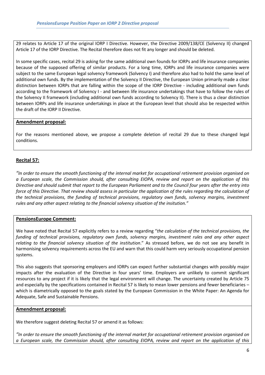29 relates to Article 17 of the original IORP I Directive. However, the Directive 2009/138/CE (Solvency II) changed Article 17 of the IORP Directive. The Recital therefore does not fit any longer and should be deleted.

In some specific cases, recital 29 is asking for the same additional own founds for IORPs and life insurance companies because of the supposed offering of similar products. For a long time, IORPs and life insurance companies were subject to the same European legal solvency framework (Solvency I) and therefore also had to hold the same level of additional own funds. By the implementation of the Solvency II Directive, the European Union primarily made a clear distinction between IORPs that are falling within the scope of the IORP Directive - including additional own funds according to the framework of Solvency I - and between life insurance undertakings that have to follow the rules of the Solvency II framework (including additional own funds according to Solvency II). There is thus a clear distinction between IORPs and life insurance undertakings in place at the European level that should also be respected within the draft of the IORP II Directive.

## Amendment proposal:

For the reasons mentioned above, we propose a complete deletion of recital 29 due to these changed legal conditions.

## Recital 57:

"In order to ensure the smooth functioning of the internal market for occupational retirement provision organised on a European scale, the Commission should, after consulting EIOPA, review and report on the application of this Directive and should submit that report to the European Parliament and to the Council four years after the entry into force of this Directive. That review should assess in particular the application of the rules regarding the calculation of the technical provisions, the funding of technical provisions, regulatory own funds, solvency margins, investment rules and any other aspect relating to the financial solvency situation of the insitution."

#### PensionsEurope Comment:

We have noted that Recital 57 explicitly refers to a review regarding "the calculation of the technical provisions, the funding of technical provisions, regulatory own funds, solvency margins, investment rules and any other aspect relating to the financial solvency situation of the institution." As stressed before, we do not see any benefit in harmonising solvency requirements across the EU and warn that this could harm very seriously occupational pension systems.

This also suggests that sponsoring employers and IORPs can expect further substantial changes with possibly major impacts after the evaluation of the Directive in four years' time. Employers are unlikely to commit significant resources to any project if it is likely that the legal environment will change. The uncertainty created by Article 75 and especially by the specifications contained in Recital 57 is likely to mean lower pensions and fewer beneficiaries – which is diametrically opposed to the goals stated by the European Commission in the White Paper: An Agenda for Adequate, Safe and Sustainable Pensions.

#### Amendment proposal:

We therefore suggest deleting Recital 57 or amend it as follows:

"In order to ensure the smooth functioning of the internal market for occupational retirement provision organised on a European scale, the Commission should, after consulting EIOPA, review and report on the application of this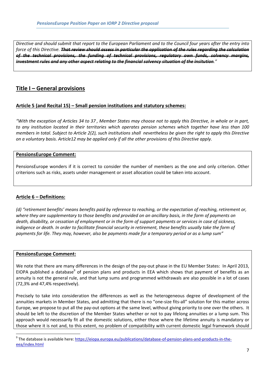Directive and should submit that report to the European Parliament and to the Council four years after the entry into force of this Directive. That review should assess in particular the application of the rules regarding the calculation of the technical provisions, the funding of technical provisions, regulatory own funds, solvency margins, investment rules and any other aspect relating to the financial solvency situation of the insitution."

# Title I – General provisions

## Article 5 (and Recital 15) – Small pension institutions and statutory schemes:

"With the exception of Articles 34 to 37 , Member States may choose not to apply this Directive, in whole or in part, to any institution located in their territories which operates pension schemes which together have less than 100 members in total. Subject to Article 2(2), such institutions shall nevertheless be given the right to apply this Directive on a voluntary basis. Article12 may be applied only if all the other provisions of this Directive apply.

## PensionsEurope Comment:

PensionsEurope wonders if it is correct to consider the number of members as the one and only criterion. Other criterions such as risks, assets under management or asset allocation could be taken into account.

## Article 6 – Definitions:

(d) "retirement benefits' means benefits paid by reference to reaching, or the expectation of reaching, retirement or, where they are supplementary to those benefits and provided on an ancillary basis, in the form of payments on death, disability, or cessation of employment or in the form of support payments or services in case of sickness, indigence or death. In order to facilitate financial security in retirement, these benefits usually take the form of payments for life. They may, however, also be payments made for a temporary period or as a lump sum"

#### PensionsEurope Comment:

l

We note that there are many differences in the design of the pay-out phase in the EU Member States: In April 2013, EIOPA published a database<sup>9</sup> of pension plans and products in EEA which shows that payment of benefits as an annuity is not the general rule, and that lump sums and programmed withdrawals are also possible in a lot of cases (72,3% and 47,4% respectively).

Precisely to take into consideration the differences as well as the heterogeneous degree of development of the annuities markets in Member States, and admitting that there is no "one-size fits-all" solution for this matter across Europe, we propose to put all the pay-out options at the same level, without giving priority to one over the others. It should be left to the discretion of the Member States whether or not to pay lifelong annuities or a lump sum. This approach would necessarily fit all the domestic solutions, either those where the lifetime annuity is mandatory or those where it is not and, to this extent, no problem of compatibility with current domestic legal framework should

<sup>&</sup>lt;sup>9</sup> The database is available here: <u>https://eiopa.europa.eu/publications/database-of-pension-plans-and-products-in-the-</u> eea/index.html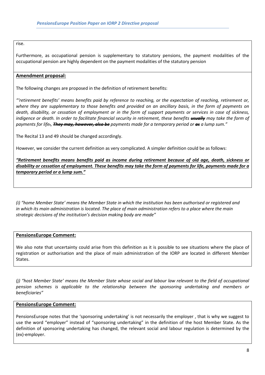rise.

Furthermore, as occupational pension is supplementary to statutory pensions, the payment modalities of the occupational pension are highly dependent on the payment modalities of the statutory pension

## Amendment proposal:

The following changes are proposed in the definition of retirement benefits:

"'retirement benefits' means benefits paid by reference to reaching, or the expectation of reaching, retirement or, where they are supplementary to those benefits and provided on an ancillary basis, in the form of payments on death, disability, or cessation of employment or in the form of support payments or services in case of sickness, indigence or death. In order to facilitate financial security in retirement, these benefits **usually** may take the form of payments for life., They may, however, also be payments made for a temporary period or as a lump sum."

The Recital 13 and 49 should be changed accordingly.

However, we consider the current definition as very complicated. A simpler definition could be as follows:

"Retirement benefits means benefits paid as income during retirement because of old age, death, sickness or disability or cessation of employment. These benefits may take the form of payments for life, payments made for a temporary period or a lump sum."

(i) "home Member State' means the Member State in which the institution has been authorised or registered and in which its main administration is located. The place of main administration refers to a place where the main strategic decisions of the institution's decision making body are made"

## PensionsEurope Comment:

We also note that uncertainty could arise from this definition as it is possible to see situations where the place of registration or authorisation and the place of main administration of the IORP are located in different Member States.

(j) "host Member State' means the Member State whose social and labour law relevant to the field of occupational pension schemes is applicable to the relationship between the sponsoring undertaking and members or beneficiaries"

## PensionsEurope Comment:

PensionsEurope notes that the 'sponsoring undertaking' is not necessarily the employer , that is why we suggest to use the word "employer" instead of "sponsoring undertaking" in the definition of the host Member State. As the definition of sponsoring undertaking has changed, the relevant social and labour regulation is determined by the (ex)-employer.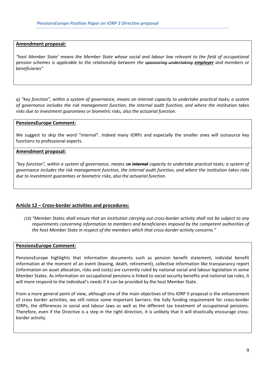#### Amendment proposal:

"host Member State' means the Member State whose social and labour law relevant to the field of occupational pension schemes is applicable to the relationship between the sponsoring undertaking employer and members or beneficiaries"

q) "key function", within a system of governance, means an internal capacity to undertake practical tasks; a system of governance includes the risk management function, the internal audit function, and where the institution takes risks due to investment guarantees or biometric risks, also the actuarial function.

#### PensionsEurope Comment:

We suggest to skip the word "internal". Indeed many IORPs and especially the smaller ones will outsource key functions to professional experts.

## Amendment proposal:

"key function", within a system of governance, means an internal capacity to undertake practical tasks; a system of governance includes the risk management function, the internal audit function, and where the institution takes risks due to investment guarantees or biometric risks, also the actuarial function.

## Article 12 – Cross-border activities and procedures:

(10) "Member States shall ensure that an institution carrying out cross-border activity shall not be subject to any requirements concerning information to members and beneficiaries imposed by the competent authorities of the host Member State in respect of the members which that cross-border activity concerns."

#### PensionsEurope Comment:

PensionsEurope highlights that information documents such as pension benefit statement, individal benefit information at the moment of an event (leaving, death, retirement), collective information like transparancy report (information on asset allocation, risks and costs) are currently ruled by national social and labour legislation in some Member States. As information on occupational pensions is linked to social security benefits and national tax rules, it will more respond to the individual's needs if it can be provided by the host Member State.

From a more general point of view, although one of the main objectives of this IORP II proposal is the enhancement of cross border activities, we still notice some important barriers: the fully funding requirement for cross-border IORPs, the differences in social and labour laws as well as the different tax treatment of occupational pensions. Therefore, even if the Directive is a step in the right direction, it is unlikely that it will drastically encourage crossborder activity.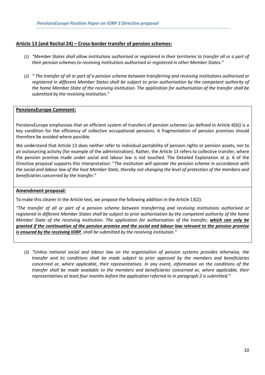## Article 13 (and Recital 24) – Cross-border transfer of pension schemes:

- (1) "Member States shall allow institutions authorised or registered in their territories to transfer all or a part of their pension schemes to receiving institutions authorised or registered in other Member States."
- (2) " The transfer of all or part of a pension scheme between transferring and receiving institutions authorised or registered in different Member States shall be subject to prior authorisation by the competent authority of the home Member State of the receiving institution. The application for authorisation of the transfer shall be submitted by the receiving institution."

#### PensionsEurope Comment:

PensionsEurope emphasises that an efficient system of transfers of pension schemes (as defined in Article 6(b)) is a key condition for the efficiency of collective occupational pensions. A fragmentation of pension promises should therefore be avoided where possible.

We understand that Article 13 does neither refer to individual portability of pension rights or pension assets, nor to an outsourcing activity (for example of the administration). Rather, the Article 13 refers to collective transfer, where the pension promise made under social and labour law is not touched. The Detailed Explanation at p. 6 of the Directive proposal supports this interpretation: "The institution will operate the pension scheme in accordance with the social and labour law of the host Member State, thereby not changing the level of protection of the members and beneficiaries concerned by the transfer."

#### Amendment proposal:

To make this clearer in the Article text, we propose the following addition in the Article 13(2):

"The transfer of all or part of a pension scheme between transferring and receiving institutions authorised or registered in different Member States shall be subject to prior authorisation by the competent authority of the home Member State of the receiving institution. The application for authorisation of the transfer, which can only be granted if the continuation of the pension promise and the social and labour law relevant to the pension promise is ensured by the receiving IORP, shall be submitted by the receiving institution."

(3) "Unless national social and labour law on the organisation of pension systems provides otherwise, the transfer and its conditions shall be made subject to prior approval by the members and beneficiaries concerned or, where applicable, their representatives. In any event, information on the conditions of the transfer shall be made available to the members and beneficiaries concerned or, where applicable, their representatives at least four months before the application referred to in paragraph 2 is submitted."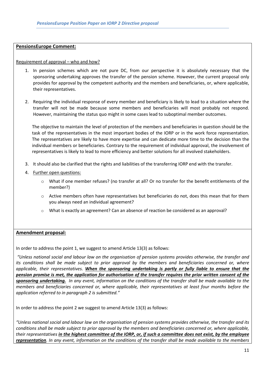## PensionsEurope Comment:

Requirement of approval – who and how?

- 1. In pension schemes which are not pure DC, from our perspective it is absolutely necessary that the sponsoring undertaking approves the transfer of the pension scheme. However, the current proposal only provides for approval by the competent authority and the members and beneficiaries, or, where applicable, their representatives.
- 2. Requiring the individual response of every member and beneficiary is likely to lead to a situation where the transfer will not be made because some members and beneficiaries will most probably not respond. However, maintaining the status quo might in some cases lead to suboptimal member outcomes.

The objective to maintain the level of protection of the members and beneficiaries in question should be the task of the representatives in the most important bodies of the IORP or in the work force representation. The representatives are likely to have more expertise and can dedicate more time to the decision than the individual members or beneficiaries. Contrary to the requirement of individual approval, the involvement of representatives is likely to lead to more efficiency and better solutions for all involved stakeholders.

- 3. It should also be clarified that the rights and liabilities of the transferring IORP end with the transfer.
- 4. Further open questions:
	- o What if one member refuses? (no transfer at all? Or no transfer for the benefit entitlements of the member?)
	- o Active members often have representatives but beneficiaries do not, does this mean that for them you always need an individual agreement?
	- $\circ$  What is exactly an agreement? Can an absence of reaction be considered as an approval?

## Amendment proposal:

In order to address the point 1, we suggest to amend Article 13(3) as follows:

 "Unless national social and labour law on the organisation of pension systems provides otherwise, the transfer and its conditions shall be made subject to prior approval by the members and beneficiaries concerned or, where applicable, their representatives. When the sponsoring undertaking is partly or fully liable to ensure that the pension promise is met, the application for authorisation of the transfer requires the prior written consent of the sponsoring undertaking. In any event, information on the conditions of the transfer shall be made available to the members and beneficiaries concerned or, where applicable, their representatives at least four months before the application referred to in paragraph 2 is submitted."

In order to address the point 2 we suggest to amend Article 13(3) as follows:

"Unless national social and labour law on the organisation of pension systems provides otherwise, the transfer and its conditions shall be made subject to prior approval by the members and beneficiaries concerned or, where applicable, their representatives in the highest committee of the IORP, or, if such a committee does not exist, by the employee representation. In any event, information on the conditions of the transfer shall be made available to the members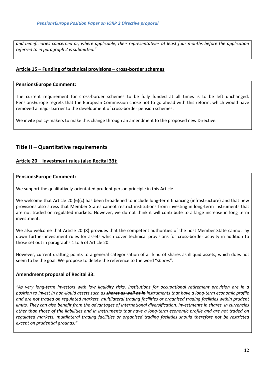and beneficiaries concerned or, where applicable, their representatives at least four months before the application referred to in paragraph 2 is submitted."

## Article 15 – Funding of technical provisions – cross-border schemes

#### PensionsEurope Comment:

The current requirement for cross-border schemes to be fully funded at all times is to be left unchanged. PensionsEurope regrets that the European Commission chose not to go ahead with this reform, which would have removed a major barrier to the development of cross-border pension schemes.

We invite policy-makers to make this change through an amendment to the proposed new Directive.

## Title II – Quantitative requirements

## Article 20 – Investment rules (also Recital 33):

#### PensionsEurope Comment:

We support the qualitatively-orientated prudent person principle in this Article.

We welcome that Article 20 (6)(c) has been broadened to include long-term financing (infrastructure) and that new provisions also stress that Member States cannot restrict institutions from investing in long-term instruments that are not traded on regulated markets. However, we do not think it will contribute to a large increase in long term investment.

We also welcome that Article 20 (8) provides that the competent authorities of the host Member State cannot lay down further investment rules for assets which cover technical provisions for cross-border activity in addition to those set out in paragraphs 1 to 6 of Article 20.

However, current drafting points to a general categorisation of all kind of shares as illiquid assets, which does not seem to be the goal. We propose to delete the reference to the word "shares".

#### Amendment proposal of Recital 33:

"As very long-term investors with low liquidity risks, institutions for occupational retirement provision are in a position to invest in non-liquid assets such as **shares as well as in** instruments that have a long-term economic profile and are not traded on regulated markets, multilateral trading facilities or organised trading facilities within prudent limits. They can also benefit from the advantages of international diversification. Investments in shares, in currencies other than those of the liabilities and in instruments that have a long-term economic profile and are not traded on regulated markets, multilateral trading facilities or organised trading facilities should therefore not be restricted except on prudential grounds."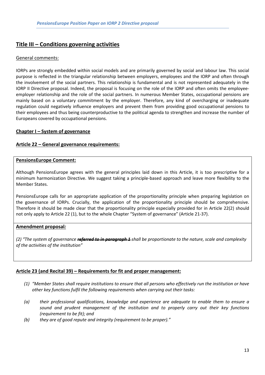## Title III – Conditions governing activities

## General comments:

IORPs are strongly embedded within social models and are primarily governed by social and labour law. This social purpose is reflected in the triangular relationship between employers, employees and the IORP and often through the involvement of the social partners. This relationship is fundamental and is not represented adequately in the IORP II Directive proposal. Indeed, the proposal is focusing on the role of the IORP and often omits the employeeemployer relationship and the role of the social partners. In numerous Member States, occupational pensions are mainly based on a voluntary commitment by the employer. Therefore, any kind of overcharging or inadequate regulation could negatively influence employers and prevent them from providing good occupational pensions to their employees and thus being counterproductive to the political agenda to strengthen and increase the number of Europeans covered by occupational pensions.

## Chapter I – System of governance

## Article 22 – General governance requirements:

#### PensionsEurope Comment:

Although PensionsEurope agrees with the general principles laid down in this Article, it is too prescriptive for a minimum harmonization Directive. We suggest taking a principle-based approach and leave more flexibility to the Member States.

PensionsEurope calls for an appropriate application of the proportionality principle when preparing legislation on the governance of IORPs. Crucially, the application of the proportionality principle should be comprehensive. Therefore it should be made clear that the proportionality principle especially provided for in Article 22(2) should not only apply to Article 22 (1), but to the whole Chapter "System of governance" (Article 21-37).

## Amendment proposal:

(2) "The system of governance **referred to in paragraph 1** shall be proportionate to the nature, scale and complexity of the activities of the institution"

## Article 23 (and Recital 39) – Requirements for fit and proper management:

- (1) "Member States shall require institutions to ensure that all persons who effectively run the institution or have other key functions fulfil the following requirements when carrying out their tasks:
- (a) their professional qualifications, knowledge and experience are adequate to enable them to ensure a sound and prudent management of the institution and to properly carry out their key functions (requirement to be fit); and
- (b) they are of good repute and integrity (requirement to be proper)."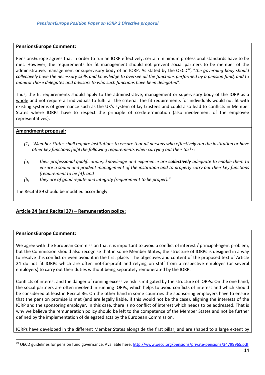## PensionsEurope Comment:

PensionsEurope agrees that in order to run an IORP effectively, certain minimum professional standards have to be met. However, the requirements for fit management should not prevent social partners to be member of the administrative, management or supervisory body of an IORP. As stated by the OECD<sup>10</sup>, "the governing body should collectively have the necessary skills and knowledge to oversee all the functions performed by a pension fund, and to monitor those delegates and advisors to who such functions have been delegated".

Thus, the fit requirements should apply to the administrative, management or supervisory body of the IORP as a whole and not require all individuals to fulfil all the criteria. The fit requirements for individuals would not fit with existing systems of governance such as the UK's system of lay trustees and could also lead to conflicts in Member States where IORPs have to respect the principle of co-determination (also involvement of the employee representatives).

## Amendment proposal:

- (1) "Member States shall require institutions to ensure that all persons who effectively run the institution or have other key functions fulfil the following requirements when carrying out their tasks:
- (a) their professional qualifications, knowledge and experience are **collectively** adequate to enable them to ensure a sound and prudent management of the institution and to properly carry out their key functions (requirement to be fit); and
- (b) they are of good repute and integrity (requirement to be proper)."

The Recital 39 should be modified accordingly.

## Article 24 (and Recital 37) – Remuneration policy:

#### PensionsEurope Comment:

 $\overline{a}$ 

We agree with the European Commission that it is important to avoid a conflict of interest / principal-agent problem, but the Commission should also recognise that in some Member States, the structure of IORPs is designed in a way to resolve this conflict or even avoid it in the first place. The objectives and content of the proposed text of Article 24 do not fit IORPs which are often not-for-profit and relying on staff from a respective employer (or several employers) to carry out their duties without being separately remunerated by the IORP.

Conflicts of interest and the danger of running excessive risk is mitigated by the structure of IORPs: On the one hand, the social partners are often involved in running IORPs, which helps to avoid conflicts of interest and which should be considered at least in Recital 36. On the other hand in some countries the sponsoring employers have to ensure that the pension promise is met (and are legally liable, if this would not be the case), aligning the interests of the IORP and the sponsoring employer. In this case, there is no conflict of interest which needs to be addressed. That is why we believe the remuneration policy should be left to the competence of the Member States and not be further defined by the implementation of delegated acts by the European Commission.

IORPs have developed in the different Member States alongside the first pillar, and are shaped to a large extent by

<sup>&</sup>lt;sup>10</sup> OECD guidelines for pension fund governance. Available here: http://www.oecd.org/pensions/private-pensions/34799965.pdf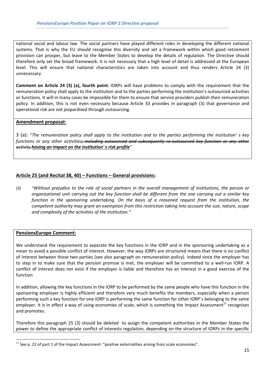national social and labour law. The social partners have played different roles in developing the different national systems. That is why the EU should recognise this diversity and set a framework within which good retirement provision can prosper, but leave to the Member States to develop the details of regulation. The Directive should therefore only set the broad framework. It is not necessary that a high level of detail is addressed at the European level. This will ensure that national characteristics are taken into account and thus renders Article 24 (3) unnecessary.

Comment on Article 24 (3) (a), fourth point: IORPs will have problems to comply with the requirement that the remuneration policy shall apply to the institution and to the parties performing the institution's outsourced activities or functions. It will in many cases be impossible for them to ensure that service providers publish their remuneration policy. In addition, this is not even necessary because Article 33 provides in paragraph (3) that governance and operational risk are not jeopardised through outsourcing.

## Amendment proposal:

3 (a): "The remuneration policy shall apply to the institution and to the parties performing the institution' s key functions or any other activities<del>, including outsourced and subsequently re-outsourced key function or any other</del> activity having an impact on the institution' s risk profile"

## Article 25 (and Recital 38, 40) – Functions – General provisions:

(3) "Without prejudice to the role of social partners in the overall management of institutions, the person or organisational unit carrying out the key function shall be different from the one carrying out a similar key function in the sponsoring undertaking. On the basis of a reasoned request from the institution, the competent authority may grant an exemption from this restriction taking into account the size, nature, scope and complexity of the activities of the institution."

## PensionsEurope Comment:

 $\overline{a}$ 

We understand the requirement to separate the key functions in the IORP and in the sponsoring undertaking as a mean to avoid a possible conflict of interest. However, the way IORPs are structured means that there is no conflict of interest between those two parties (see also paragraph on remuneration policy). Indeed since the employer has to step in to make sure that the pension promise is met, the employer will be committed to a well-run IORP. A conflict of interest does not exist if the employer is liable and therefore has an interest in a good exercise of the function

In addition, allowing the key functions in the IORP to be performed by the same people who have this function in the sponsoring employer is highly efficient and therefore very much benefits the members, especially when a person performing such a key function for one IORP is performing the same function for other IORP´s belonging to the same employer. It is in effect a way of using economies of scale, which is something the Impact Assessment<sup>11</sup> recognises and promotes.

Therefore this paragraph 25 (3) should be deleted to assign the competent authorities in the Member States the power to define the appropriate conflict of interests regulation, depending on the structure of IORPs in the specific

 $11$  See p. 22 of part 1 of the Impact Assessment: "positive externalities arising from scale economies".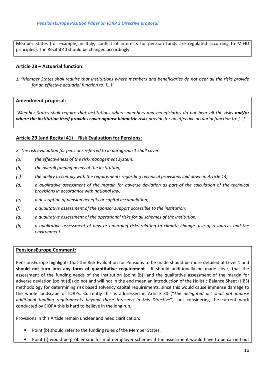Member States (for example, in Italy, conflict of interests for pension funds are regulated according to MiFID principles). The Recital 40 should be changed accordingly.

## Article 28 – Actuarial function:

1. "Member States shall require that institutions where members and beneficiaries do not bear all the risks provide for an effective actuarial function to: […]"

#### Amendment proposal:

"Member States shall require that institutions where members and beneficiaries do not bear all the risks *and/or* where the institution itself provides cover against biometric risks provide for an effective actuarial function to: [...]

## Article 29 (and Recital 41) – Risk Evaluation for Pensions:

- 2. The risk evaluation for pensions referred to in paragraph 1 shall cover:
- (a) the effectiveness of the risk-management system;
- (b) the overall funding needs of the institution;
- (c) the ability to comply with the requirements regarding technical provisions laid down in Article 14;
- (d) a qualitative assessment of the margin for adverse deviation as part of the calculation of the technical provisions in accordance with national law;
- (e) a description of pension benefits or capital accumulation;
- (f) a qualitative assessment of the sponsor support accessible to the institution;
- (g) a qualitative assessment of the operational risks for all schemes of the institution,
- (h) a qualitative assessment of new or emerging risks relating to climate change, use of resources and the environment.

#### PensionsEurope Comment:

PensionsEurope highlights that the Risk Evaluation for Pensions to be made should be more detailed at Level 1 and should not turn into any form of quantitative requirement. It should additionally be made clear, that the assessment of the funding needs of the institution (point (b)) and the qualitative assessment of the margin for adverse deviation (point (d)) do not and will not in the end mean an introduction of the Holistic Balance Sheet (HBS) methodology for determining risk based solvency capital requirements, since this would cause immense damage to the whole landscape of IORPs. Currently this is addressed in Article 30 ("The delegated act shall not impose additional funding requirements beyond those foreseen in this Directive"), but considering the current work conducted by EIOPA this is hard to believe in the long run.

Provisions in this Article remain unclear and need clarification:

- Point (b) should refer to the funding rules of the Member States.
- Point (f) would be problematic for multi-employer schemes if the assessment would have to be carried out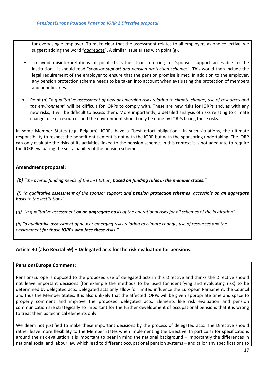for every single employer. To make clear that the assessment relates to all employers as one collective, we suggest adding the word "aggregate". A similar issue arises with point (g).

- To avoid misinterpretations of point (f), rather than referring to "sponsor support accessible to the institution", it should read "sponsor support and pension protection schemes". This would then include the legal requirement of the employer to ensure that the pension promise is met. In addition to the employer, any pension protection scheme needs to be taken into account when evaluating the protection of members and beneficiaries.
- Point (h) "a qualitative assessment of new or emerging risks relating to climate change, use of resources and the environment" will be difficult for IORPs to comply with. These are new risks for IORPs and, as with any new risks, it will be difficult to assess them. More importantly, a detailed analysis of risks relating to climate change, use of resources and the environment should only be done by IORPs facing these risks.

In some Member States (e.g. Belgium), IORPs have a "best effort obligation". In such situations, the ultimate responsibility to respect the benefit entitlement is not with the IORP but with the sponsoring undertaking. The IORP can only evaluate the risks of its activities linked to the pension scheme. In this context it is not adequate to require the IORP evaluating the sustainability of the pension scheme.

## Amendment proposal:

(b) "the overall funding needs of the institution, based on funding rules in the member states;"

(f) "a qualitative assessment of the sponsor support and pension protection schemes accessible on an aggregate basis to the institutions"

(g) "a qualitative assessment **on an aggregate basis** of the operational risks for all schemes of the institution"

(h) "a qualitative assessment of new or emerging risks relating to climate change, use of resources and the environment for those IORPs who face these risks."

## Article 30 (also Recital 59) – Delegated acts for the risk evaluation for pensions:

## PensionsEurope Comment:

PensionsEurope is opposed to the proposed use of delegated acts in this Directive and thinks the Directive should not leave important decisions (for example the methods to be used for identifying and evaluating risk) to be determined by delegated acts. Delegated acts only allow for limited influence the European Parliament, the Council and thus the Member States. It is also unlikely that the affected IORPs will be given appropriate time and space to properly comment and improve the proposed delegated acts. Elements like risk evaluation and pension communication are strategically so important for the further development of occupational pensions that it is wrong to treat them as technical elements only.

We deem not justified to make these important decisions by the process of delegated acts. The Directive should rather leave more flexibility to the Member States when implementing the Directive. In particular for specifications around the risk evaluation it is important to bear in mind the national background – importantly the differences in national social and labour law which lead to different occupational pension systems – and tailor any specifications to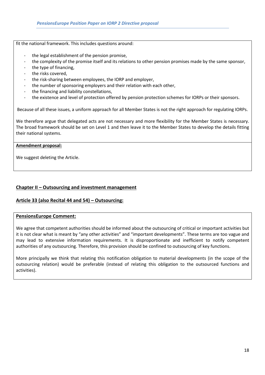fit the national framework. This includes questions around:

- the legal establishment of the pension promise,
- the complexity of the promise itself and its relations to other pension promises made by the same sponsor,
- the type of financing,
- the risks covered,
- the risk-sharing between employees, the IORP and employer,
- the number of sponsoring employers and their relation with each other,
- the financing and liability constellations,
- the existence and level of protection offered by pension protection schemes for IORPs or their sponsors.

Because of all these issues, a uniform approach for all Member States is not the right approach for regulating IORPs.

We therefore argue that delegated acts are not necessary and more flexibility for the Member States is necessary. The broad framework should be set on Level 1 and then leave it to the Member States to develop the details fitting their national systems.

## Amendment proposal:

We suggest deleting the Article.

## Chapter II – Outsourcing and investment management

## Article 33 (also Recital 44 and 54) – Outsourcing:

## PensionsEurope Comment:

We agree that competent authorities should be informed about the outsourcing of critical or important activities but it is not clear what is meant by "any other activities" and "important developments". These terms are too vague and may lead to extensive information requirements. It is disproportionate and inefficient to notify competent authorities of any outsourcing. Therefore, this provision should be confined to outsourcing of key functions.

More principally we think that relating this notification obligation to material developments (in the scope of the outsourcing relation) would be preferable (instead of relating this obligation to the outsourced functions and activities).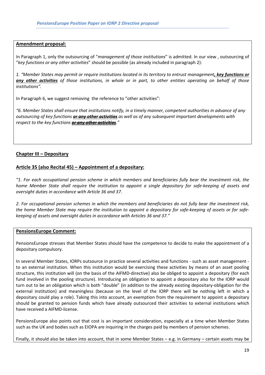## Amendment proposal:

In Paragraph 1, only the outsourcing of "management of those institutions" is admitted. In our view, outsourcing of "key functions or any other activities" should be possible (as already included in paragraph 2):

1. "Member States may permit or require institutions located in its territory to entrust management, key functions or any other activities of those institutions, in whole or in part, to other entities operating on behalf of those institutions".

In Paragraph 6, we suggest removing the reference to "other activities":

"6. Member States shall ensure that institutions notify, in a timely manner, competent authorities in advance of any outsourcing of key functions *or any other activities* as well as of any subsequent important developments with respect to the key functions or any other activities."

## Chapter III – Depositary

## Article 35 (also Recital 45) – Appointment of a depositary:

"1. For each occupational pension scheme in which members and beneficiaries fully bear the investment risk, the home Member State shall require the institution to appoint a single depositary for safe-keeping of assets and oversight duties in accordance with Article 36 and 37.

2. For occupational pension schemes in which the members and beneficiaries do not fully bear the investment risk, the home Member State may require the institution to appoint a depositary for safe-keeping of assets or for safekeeping of assets and oversight duties in accordance with Articles 36 and 37."

#### PensionsEurope Comment:

PensionsEurope stresses that Member States should have the competence to decide to make the appointment of a depositary compulsory.

In several Member States, IORPs outsource in practice several activities and functions - such as asset management to an external institution. When this institution would be exercising these activities by means of an asset pooling structure, this institution will (on the basis of the AIFMD-directive) also be obliged to appoint a depositary (for each fund involved in the pooling structure). Introducing an obligation to appoint a depositary also for the IORP would turn out to be an obligation which is both "double" (in addition to the already existing depositary-obligation for the external institution) and meaningless (because on the level of the IORP there will be nothing left in which a depositary could play a role). Taking this into account, an exemption from the requirement to appoint a depositary should be granted to pension funds which have already outsourced their activities to external institutions which have received a AIFMD-license.

PensionsEurope also points out that cost is an important consideration, especially at a time when Member States such as the UK and bodies such as EIOPA are inquiring in the charges paid by members of pension schemes.

Finally, it should also be taken into account, that in some Member States – e.g. in Germany – certain assets may be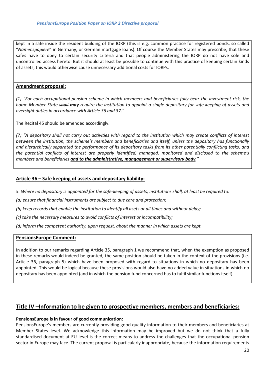kept in a safe inside the resident building of the IORP (this is e.g. common practice for registered bonds, so called "Namenspapiere" in Germany, or German mortgage loans). Of course the Member States may prescribe, that these safes have to obey to certain security criteria and that people administering the IORP do not have sole and uncontrolled access hereto. But it should at least be possible to continue with this practice of keeping certain kinds of assets, this would otherwise cause unnecessary additional costs for IORPs.

## Amendment proposal:

(1) "For each occupational pension scheme in which members and beneficiaries fully bear the investment risk, the home Member State shall may require the institution to appoint a single depositary for safe-keeping of assets and oversight duties in accordance with Article 36 and 37."

The Recital 45 should be amended accordingly.

(7) "A depositary shall not carry out activities with regard to the institution which may create conflicts of interest between the institution, the scheme's members and beneficiaries and itself, unless the depositary has functionally and hierarchically separated the performance of its depositary tasks from its other potentially conflicting tasks, and the potential conflicts of interest are properly identified, managed, monitored and disclosed to the scheme's members and beneficiaries and to the administrative, mangagement or supervisory body."

## Article 36 – Safe keeping of assets and depositary liability:

- 5. Where no depositary is appointed for the safe-keeping of assets, institutions shall, at least be required to:
- (a) ensure that financial instruments are subject to due care and protection;
- (b) keep records that enable the institution to identify all asets at all times and without delay;
- (c) take the necessary measures to avoid conflicts of interest or incompatibility;
- (d) inform the competent authority, upon request, about the manner in which assets are kept.

#### PensionsEurope Comment:

In addition to our remarks regarding Article 35, paragraph 1 we recommend that, when the exemption as proposed in these remarks would indeed be granted, the same position should be taken in the context of the provisions (i.e. Article 36, paragraph 5) which have been proposed with regard to situations in which no depositary has been appointed. This would be logical because these provisions would also have no added value in situations in which no depositary has been appointed (and in which the pension fund concerned has to fulfil similar functions itself).

## Title IV –Information to be given to prospective members, members and beneficiaries:

#### PensionsEurope is in favour of good communication:

PensionsEurope's members are currently providing good quality information to their members and beneficiaries at Member States level. We acknowledge this information may be improved but we do not think that a fully standardised document at EU level is the correct means to address the challenges that the occupational pension sector in Europe may face. The current proposal is particularly inappropriate, because the information requirements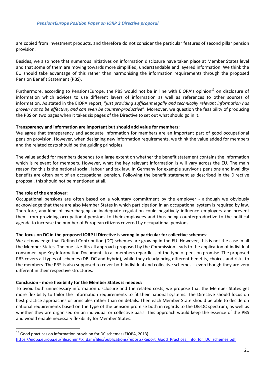are copied from investment products, and therefore do not consider the particular features of second pillar pension provision.

Besides, we also note that numerous initiatives on information disclosure have taken place at Member States level and that some of them are moving towards more simplified, understandable and layered information. We think the EU should take advantage of this rather than harmonising the information requirements through the proposed Pension Benefit Statement (PBS).

Furthermore, according to PensionsEurope, the PBS would not be in line with EIOPA's opinion<sup>12</sup> on disclosure of information which advices to use different layers of information as well as references to other sources of information. As stated in the EIOPA report, "just providing sufficient legally and technically relevant information has proven not to be effective, and can even be counter-productive". Moreover, we question the feasibility of producing the PBS on two pages when it takes six pages of the Directive to set out what should go in it.

#### Transparency and information are important but should add value for members:

We agree that transparency and adequate information for members are an important part of good occupational pension provision. However, when designing new information requirements, we think the value added for members and the related costs should be the guiding principles.

The value added for members depends to a large extent on whether the benefit statement contains the information which is relevant for members. However, what the key relevant information is will vary across the EU. The main reason for this is the national social, labour and tax law. In Germany for example survivor's pensions and invalidity benefits are often part of an occupational pension. Following the benefit statement as described in the Directive proposal, this should not be mentioned at all.

## The role of the employer:

l

Occupational pensions are often based on a voluntary commitment by the employer - although we obviously acknowledge that there are also Member States in which participation in an occupational system is required by law. Therefore, any kind of overcharging or inadequate regulation could negatively influence employers and prevent them from providing occupational pensions to their employees and thus being counterproductive to the political agenda to increase the number of European citizens covered by occupational pensions.

#### The focus on DC in the proposed IORP II Directive is wrong in particular for collective schemes:

We acknowledge that Defined Contribution (DC) schemes are growing in the EU. However, this is not the case in all the Member States. The one-size-fits-all approach proposed by the Commission leads to the application of individual consumer-type Key Information Documents to all members regardless of the type of pension promise. The proposed PBS covers all types of schemes (DB, DC and hybrid), while they clearly bring different benefits, choices and risks to the members. The PBS is also supposed to cover both individual and collective schemes – even though they are very different in their respective structures.

#### Conclusion - more flexibility for the Member States is needed:

To avoid both unnecessary information disclosure and the related costs, we propose that the Member States get more flexibility to tailor the information requirements to fit their national systems. The Directive should focus on best practice approaches or principles rather than on details. Then each Member State should be able to decide on national requirements based on the type of the pension promise both in regards to the DB-DC spectrum, as well as whether they are organised on an individual or collective basis. This approach would keep the essence of the PBS and would enable necessary flexibility for Member States.

<sup>&</sup>lt;sup>12</sup> Good practices on information provision for DC schemes (EIOPA, 2013): https://eiopa.europa.eu/fileadmin/tx\_dam/files/publications/reports/Report\_Good\_Practices\_Info\_for\_DC\_schemes.pdf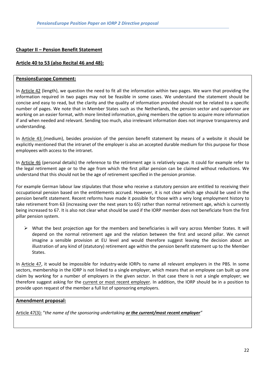## Chapter II – Pension Benefit Statement

## Article 40 to 53 (also Recital 46 and 48):

## PensionsEurope Comment:

In Article 42 (length), we question the need to fit all the information within two pages. We warn that providing the information required in two pages may not be feasible in some cases. We understand the statement should be concise and easy to read, but the clarity and the quality of information provided should not be related to a specific number of pages. We note that in Member States such as the Netherlands, the pension sector and supervisor are working on an easier format, with more limited information, giving members the option to acquire more information if and when needed and relevant. Sending too much, also irrelevant information does not improve transparency and understanding.

In Article 43 (medium), besides provision of the pension benefit statement by means of a website it should be explicitly mentioned that the intranet of the employer is also an accepted durable medium for this purpose for those employees with access to the intranet.

In Article 46 (personal details) the reference to the retirement age is relatively vague. It could for example refer to the legal retirement age or to the age from which the first pillar pension can be claimed without reductions. We understand that this should not be the age of retirement specified in the pension promise.

For example German labour law stipulates that those who receive a statutory pension are entitled to receiving their occupational pension based on the entitlements accrued. However, it is not clear which age should be used in the pension benefit statement. Recent reforms have made it possible for those with a very long employment history to take retirement from 63 (increasing over the next years to 65) rather than normal retirement age, which is currently being increased to 67. It is also not clear what should be used if the IORP member does not beneficiate from the first pillar pension system.

 $\triangleright$  What the best projection age for the members and beneficiaries is will vary across Member States. It will depend on the normal retirement age and the relation between the first and second pillar. We cannot imagine a sensible provision at EU level and would therefore suggest leaving the decision about an illustration of any kind of (statutory) retirement age within the pension benefit statement up to the Member States.

In Article 47, it would be impossible for industry-wide IORPs to name all relevant employers in the PBS. In some sectors, membership in the IORP is not linked to a single employer, which means that an employee can built up one claim by working for a number of employers in the given sector. In that case there is not a single employer; we therefore suggest asking for the current or most recent employer. In addition, the IORP should be in a position to provide upon request of the member a full list of sponsoring employers.

## Amendment proposal:

Article 47(3): "the name of the sponsoring undertaking or the current/most recent employer"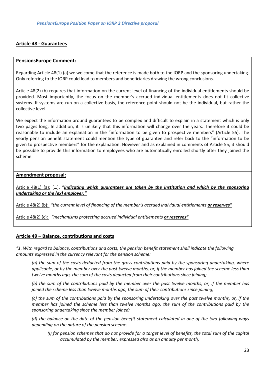## Article 48 - Guarantees

#### PensionsEurope Comment:

Regarding Article 48(1) (a) we welcome that the reference is made both to the IORP and the sponsoring undertaking. Only referring to the IORP could lead to members and beneficiaries drawing the wrong conclusions.

Article 48(2) (b) requires that information on the current level of financing of the individual entitlements should be provided. Most importantly, the focus on the member's accrued individual entitlements does not fit collective systems. If systems are run on a collective basis, the reference point should not be the individual, but rather the collective level.

We expect the information around guarantees to be complex and difficult to explain in a statement which is only two pages long. In addition, it is unlikely that this information will change over the years. Therefore it could be reasonable to include an explanation in the "information to be given to prospective members" (Article 55). The yearly pension benefit statement could mention the type of guarantee and refer back to the "information to be given to prospective members" for the explanation. However and as explained in comments of Article 55, it should be possible to provide this information to employees who are automatically enrolled shortly after they joined the scheme.

## Amendment proposal:

Article 48(1) (a): [...], "indicating which quarantees are taken by the institution and which by the sponsoring undertaking or the (ex) employer."

Article 48(2) (b): "the current level of financing of the member's accrued individual entitlements or reserves"

Article 48(2) (c): "mechanisms protecting accrued individual entitlements or reserves"

## Article 49 – Balance, contributions and costs

"1. With regard to balance, contributions and costs, the pension benefit statement shall indicate the following amounts expressed in the currency relevant for the pension scheme:

(a) the sum of the costs deducted from the gross contributions paid by the sponsoring undertaking, where applicable, or by the member over the past twelve months, or, if the member has joined the scheme less than twelve months ago, the sum of the costs deducted from their contributions since joining;

(b) the sum of the contributions paid by the member over the past twelve months, or, if the member has joined the scheme less than twelve months ago, the sum of their contributions since joining;

(c) the sum of the contributions paid by the sponsoring undertaking over the past twelve months, or, if the member has joined the scheme less than twelve months ago, the sum of the contributions paid by the sponsoring undertaking since the member joined;

(d) the balance on the date of the pension benefit statement calculated in one of the two following ways depending on the nature of the pension scheme:

(i) for pension schemes that do not provide for a target level of benefits, the total sum of the capital accumulated by the member, expressed also as an annuity per month,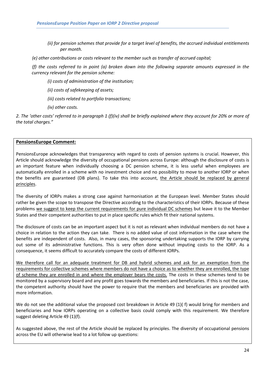- (ii) for pension schemes that provide for a target level of benefits, the accrued individual entitlements per month.
- (e) other contributions or costs relevant to the member such as transfer of accrued capital;

(f) the costs referred to in point (a) broken down into the following separate amounts expressed in the currency relevant for the pension scheme:

- (i) costs of administration of the institution;
- (ii) costs of safekeeping of assets;
- (iii) costs related to portfolio transactions;
- (iv) other costs.

2. The 'other costs' referred to in paragraph 1 (f)(iv) shall be briefly explained where they account for 20% or more of the total charges."

## PensionsEurope Comment:

PensionsEurope acknowledges that transparency with regard to costs of pension systems is crucial. However, this Article should acknowledge the diversity of occupational pensions across Europe: although the disclosure of costs is an important feature when individually choosing a DC pension scheme, it is less useful when employees are automatically enrolled in a scheme with no investment choice and no possibility to move to another IORP or when the benefits are guaranteed (DB plans). To take this into account, the Article should be replaced by general principles.

The diversity of IORPs makes a strong case against harmonisation at the European level. Member States should rather be given the scope to transpose the Directive according to the characteristics of their IORPs. Because of these problems we suggest to keep the current requirements for pure individual DC schemes but leave it to the Member States and their competent authorities to put in place specific rules which fit their national systems.

The disclosure of costs can be an important aspect but it is not as relevant when individual members do not have a choice in relation to the action they can take. There is no added value of cost information in the case where the benefits are independent of costs. Also, in many cases, the sponsoring undertaking supports the IORP by carrying out some of its administrative functions. This is very often done without imputing costs to the IORP. As a consequence, it seems difficult to accurately compare the costs of different IORPs.

We therefore call for an adequate treatment for DB and hybrid schemes and ask for an exemption from the requirements for collective schemes where members do not have a choice as to whether they are enrolled, the type of scheme they are enrolled in and where the employer bears the costs. The costs in these schemes tend to be monitored by a supervisory board and any profit goes towards the members and beneficiaries. If this is not the case, the competent authority should have the power to require that the members and beneficiaries are provided with more information.

We do not see the additional value the proposed cost breakdown in Article 49 (1)( f) would bring for members and beneficiaries and how IORPs operating on a collective basis could comply with this requirement. We therefore suggest deleting Article 49 (1)(f).

As suggested above, the rest of the Article should be replaced by principles. The diversity of occupational pensions across the EU will otherwise lead to a lot follow up questions: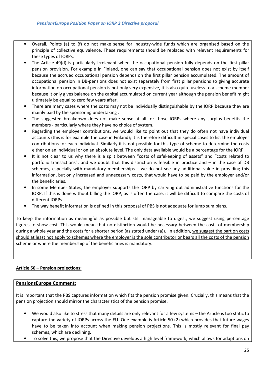- Overall, Points (a) to (f) do not make sense for industry-wide funds which are organised based on the principle of collective equivalence. These requirements should be replaced with relevant requirements for these types of IORPs.
- The Article 49(d) is particularly irrelevant when the occupational pension fully depends on the first pillar pension provision. For example in Finland, one can say that occupational pension does not exist by itself because the accrued occupational pension depends on the first pillar pension accumulated. The amount of occupational pension in DB-pensions does not exist separately from first pillar pensions so giving accurate information on occupational pension is not only very expensive, it is also quite useless to a scheme member because it only gives balance on the capital accumulated on current year although the pension benefit might ultimately be equal to zero few years after.
- There are many cases where the costs may not be individually distinguishable by the IORP because they are mainly paid by the sponsoring undertaking .
- The suggested breakdown does not make sense at all for those IORPs where any surplus benefits the members - particularly where they have no choice of system.
- Regarding the employer contributions, we would like to point out that they do often not have individual accounts (this is for example the case in Finland); it is therefore difficult in special cases to list the employer contributions for each individual. Similarly it is not possible for this type of scheme to determine the costs either on an individual or on an absolute level. The only data available would be a percentage for the IORP.
- It is not clear to us why there is a split between "costs of safekeeping of assets" and "costs related to portfolio transactions", and we doubt that this distinction is feasible in practice and – in the case of DB schemes, especially with mandatory memberships – we do not see any additional value in providing this information, but only increased and unnecessary costs, that would have to be paid by the employer and/or the beneficiaries.
- In some Member States, the employer supports the IORP by carrying out administrative functions for the IORP. If this is done without billing the IORP, as is often the case, it will be difficult to compare the costs of different IORPs.
- The way benefit information is defined in this proposal of PBS is not adequate for lump sum plans.

To keep the information as meaningful as possible but still manageable to digest, we suggest using percentage figures to show cost. This would mean that no distinction would be necessary between the costs of membership during a whole year and the costs for a shorter period (as stated under (a)). In addition, we suggest the part on costs should at least not apply to schemes where the employer is the sole contributor or bears all the costs of the pension scheme or where the membership of the beneficiaries is mandatory.

## Article 50 – Pension projections:

## PensionsEurope Comment:

It is important that the PBS captures information which fits the pension promise given. Crucially, this means that the pension projection should mirror the characteristics of the pension promise.

- We would also like to stress that many details are only relevant for a few systems the Article is too static to capture the variety of IORPs across the EU. One example is Article 50 (2) which provides that future wages have to be taken into account when making pension projections. This is mostly relevant for final pay schemes, which are declining.
- To solve this, we propose that the Directive develops a high level framework, which allows for adaptions on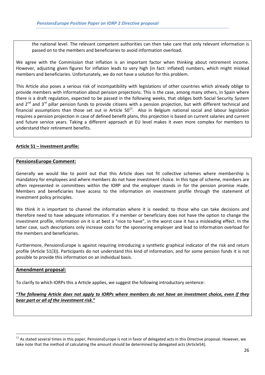the national level. The relevant competent authorities can then take care that only relevant information is passed on to the members and beneficiaries to avoid information overload.

We agree with the Commission that inflation is an important factor when thinking about retirement income. However, adjusting given figures for inflation leads to very high (in fact: inflated) numbers, which might mislead members and beneficiaries. Unfortunately, we do not have a solution for this problem.

This Article also poses a serious risk of incompatibility with legislations of other countries which already oblige to provide members with information about pension projections. This is the case, among many others, in Spain where there is a draft regulation, expected to be passed in the following weeks, that obliges both Social Security System and  $2^{nd}$  and  $3^{rd}$  pillar pension funds to provide citizens with a pension projection, but with different technical and financial assumptions than those set out in Article  $50^{13}$ . Also in Belgium national social and labour legislation requires a pension projection in case of defined benefit plans, this projection is based on current salaries and current and future service years. Taking a different approach at EU level makes it even more complex for members to understand their retirement benefits.

## Article 51 – Investment profile:

#### PensionsEurope Comment:

Generally we would like to point out that this Article does not fit collective schemes where membership is mandatory for employees and where members do not have investment choice. In this type of scheme, members are often represented in committees within the IORP and the employer stands in for the pension promise made. Members and beneficiaries have access to the information on investment profile through the statement of investment policy principles.

We think it is important to channel the information where it is needed: to those who can take decisions and therefore need to have adequate information. If a member or beneficiary does not have the option to change the investment profile, information on it is at best a "nice to have", in the worst case it has a misleading effect. In the latter case, such descriptions only increase costs for the sponsoring employer and lead to information overload for the members and beneficiaries.

Furthermore, PensionsEurope is against requiring introducing a synthetic graphical indicator of the risk and return profile (Article 51(3)). Participants do not understand this kind of information, and for some pension funds it is not possible to provide this information on an individual basis.

#### Amendment proposal:

l

To clarify to which IORPs this a Article applies, we suggest the following introductory sentence:

"The following Article does not apply to IORPs where members do not have an investment choice, even if they bear part or all of the investment risk."

<sup>&</sup>lt;sup>13</sup> As stated several times in this paper, PensionsEurope is not in favor of delegated acts in this Directive proposal. However, we take note that the method of calculating the amount should be determined by delegated acts (Article54).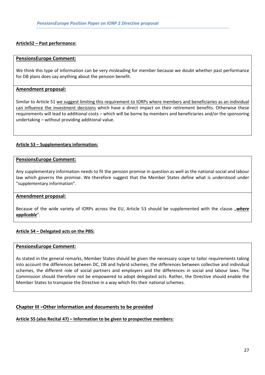## Article52 – Past performance:

#### PensionsEurope Comment:

We think this type of information can be very misleading for member because we doubt whether past performance for DB plans does say anything about the pension benefit.

## Amendment proposal:

Similar to Article 51 we suggest limiting this requirement to IORPs where members and beneficiaries as an individual can influence the investment decisions which have a direct impact on their retirement benefits. Otherwise these requirements will lead to additional costs – which will be borne by members and beneficiaries and/or the sponsoring undertaking – without providing additional value.

## Article 53 – Supplementary information:

#### PensionsEurope Comment:

Any supplementary information needs to fit the pension promise in question as well as the national social and labour law which governs the promise. We therefore suggest that the Member States define what is understood under "supplementary information".

#### Amendment proposal:

Because of the wide variety of IORPs across the EU, Article 53 should be supplemented with the clause "where applicable".

#### Article 54 – Delegated acts on the PBS:

#### PensionsEurope Comment:

As stated in the general remarks, Member States should be given the necessary scope to tailor requirements taking into account the differences between DC, DB and hybrid schemes, the differences between collective and individual schemes, the different role of social partners and employers and the differences in social and labour laws. The Commission should therefore not be empowered to adopt delegated acts. Rather, the Directive should enable the Member States to transpose the Directive in a way which fits their national schemes.

#### Chapter III –Other information and documents to be provided

Article 55 (also Recital 47) – Information to be given to prospective members: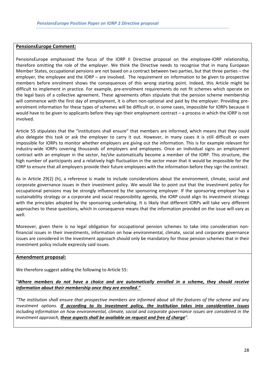## PensionsEurope Comment:

PensionsEurope emphasised the focus of the IORP II Directive proposal on the employee-IORP relationship, therefore omitting the role of the employer. We think the Directive needs to recognise that in many European Member States, occupational pensions are not based on a contract between two parties, but that three parties – the employer, the employee and the IORP – are involved. The requirement on information to be given to prospective members before enrolment shows the consequences of this wrong starting point. Indeed, this Article might be difficult to implement in practice. For example, pre-enrolment requirements do not fit schemes which operate on the legal basis of a collective agreement. These agreements often stipulate that the pension scheme membership will commence with the first day of employment, it is often non-optional and paid by the employer. Providing preenrolment information for these types of schemes will be difficult or, in some cases, impossible for IORPs because it would have to be given to applicants before they sign their employment contract – a process in which the IORP is not involved.

Article 55 stipulates that the "institutions shall ensure" that members are informed, which means that they could also delegate this task or ask the employer to carry it out. However, in many cases it is still difficult or even impossible for IORPs to monitor whether employers are giving out the information. This is for example relevant for industry-wide IORPs covering thousands of employers and employees. Once an individual signs an employment contract with an employer in the sector, he/she automatically become a member of the IORP. This structure, the high number of participants and a relatively high fluctuation in the sector mean that it would be impossible for the IORP to ensure that all employers provide their future employees with the information before they sign the contract.

As in Article 29(2) (h), a reference is made to include considerations about the environment, climate, social and corporate governance issues in their investment policy. We would like to point out that the investment policy for occupational pensions may be strongly influenced by the sponsoring employer. If the sponsoring employer has a sustainability strategy or a corporate and social responsibility agenda, the IORP could align its investment strategy with the principles adopted by the sponsoring undertaking. It is likely that different IORPs will take very different approaches to these questions, which in consequence means that the information provided on the issue will vary as well.

Moreover, given there is no legal obligation for occupational pension schemes to take into consideration nonfinancial issues in their investments, information on how environmental, climate, social and corporate governance issues are considered in the investment approach should only be mandatory for those pension schemes that in their investment policy include expressly said issues.

## Amendment proposal:

We therefore suggest adding the following to Article 55:

"Where members do not have a choice and are automatically enrolled in a scheme, they should receive information about their membership once they are enrolled."

"The institution shall ensure that prospective members are informed about all the features of the scheme and any investment options. If according to its investment policy, the institution takes into consideration issues including information on how environmental, climate, social and corporate governance issues are considered in the investment approach, these aspects shall be available on request and free of charge".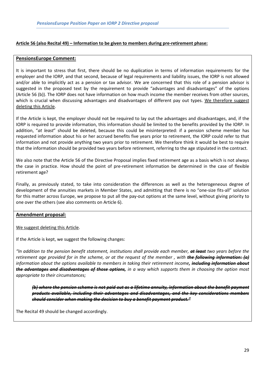## Article 56 (also Recital 49) – Information to be given to members during pre-retirement phase:

#### PensionsEurope Comment:

It is important to stress that first, there should be no duplication in terms of information requirements for the employer and the IORP, and that second, because of legal requirements and liability issues, the IORP is not allowed and/or able to implicitly act as a pension or tax advisor. We are concerned that this role of a pension advisor is suggested in the proposed text by the requirement to provide "advantages and disadvantages" of the options (Article 56 (b)). The IORP does not have information on how much income the member receives from other sources, which is crucial when discussing advantages and disadvantages of different pay out types. We therefore suggest deleting this Article.

If the Article is kept, the employer should not be required to lay out the advantages and disadvantages, and, if the IORP is required to provide information, this information should be limited to the benefits provided by the IORP. In addition, "at least" should be deleted, because this could be misinterpreted: if a pension scheme member has requested information about his or her accrued benefits five years prior to retirement, the IORP could refer to that information and not provide anything two years prior to retirement. We therefore think it would be best to require that the information should be provided two years before retirement, referring to the age stipulated in the contract.

We also note that the Article 56 of the Directive Proposal implies fixed retirement age as a basis which is not always the case in practice. How should the point of pre-retirement information be determined in the case of flexible retirement age?

Finally, as previously stated, to take into consideration the differences as well as the heterogeneous degree of development of the annuities markets in Member States, and admitting that there is no "one-size fits-all" solution for this matter across Europe, we propose to put all the pay-out options at the same level, without giving priority to one over the others (see also comments on Article 6).

## Amendment proposal:

We suggest deleting this Article.

If the Article is kept, we suggest the following changes:

"In addition to the pension benefit statement, institutions shall provide each member, **at least** two vears before the retirement age provided for in the scheme, or at the request of the member, with **the following information: (a)** information about the options available to members in taking their retirement income, *including information about* the advantages and disadvantages of those options, in a way which supports them in choosing the option most appropriate to their circumstances;

(b) where the pension scheme is not paid out as a lifetime annuity, information about the benefit payment products available, including their advantages and disadvantages, and the key considerations members should consider when making the decision to buy a benefit payment product."

The Recital 49 should be changed accordingly.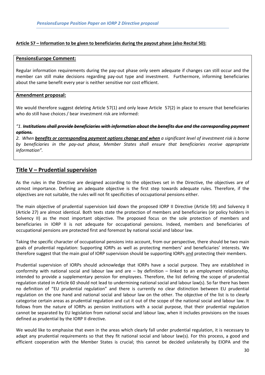#### Article 57 – Information to be given to beneficiaries during the payout phase (also Recital 50):

#### PensionsEurope Comment:

Regular information requirements during the pay-out phase only seem adequate if changes can still occur and the member can still make decisions regarding pay-out type and investment. Furthermore, informing beneficiaries about the same benefit every year is neither sensitive nor cost efficient.

#### Amendment proposal:

We would therefore suggest deleting Article 57(1) and only leave Article 57(2) in place to ensure that beneficiaries who do still have choices / bear investment risk are informed:

## $"1.$  Institutions shall provide beneficiaries with information about the benefits due and the corresponding payment options.

2. When benefits or corresponding payment options change and when a significant level of investment risk is borne by beneficiaries in the pay-out phase, Member States shall ensure that beneficiaries receive appropriate information".

## Title V – Prudential supervision

As the rules in the Directive are designed according to the objectives set in the Directive, the objectives are of utmost importance. Defining an adequate objective is the first step towards adequate rules. Therefore, if the objectives are not suitable, the rules will not fit specificities of occupational pensions either.

The main objective of prudential supervision laid down the proposed IORP II Directive (Article 59) and Solvency II (Article 27) are almost identical. Both texts state the protection of members and beneficiaries (or policy holders in Solvency II) as the most important objective. The proposed focus on the sole protection of members and beneficiaries in IORP II is not adequate for occupational pensions. Indeed, members and beneficiaries of occupational pensions are protected first and foremost by national social and labour law.

Taking the specific character of occupational pensions into account, from our perspective, there should be two main goals of prudential regulation: Supporting IORPs as well as protecting members' and beneficiaries' interests. We therefore suggest that the main goal of IORP supervision should be supporting IORPs and protecting their members.

Prudential supervision of IORPs should acknowledge that IORPs have a social purpose. They are established in conformity with national social and labour law and are – by definition – linked to an employment relationship, intended to provide a supplementary pension for employees. Therefore, the list defining the scope of prudential regulation stated in Article 60 should not lead to undermining national social and labour law(s). So far there has been no definition of "EU prudential regulation" and there is currently no clear distinction between EU prudential regulation on the one hand and national social and labour law on the other. The objective of the list is to clearly categorise certain areas as prudential regulation and cut it out of the scope of the national social and labour law. It follows from the nature of IORPs as pension institutions with a social purpose, that their prudential regulation cannot be separated by EU legislation from national social and labour law, when it includes provisions on the issues defined as prudential by the IORP II directive.

We would like to emphasise that even in the areas which clearly fall under prudential regulation, it is necessary to adapt any prudential requirements so that they fit national social and labour law(s). For this process, a good and efficient cooperation with the Member States is crucial; this cannot be decided unilaterally by EIOPA and the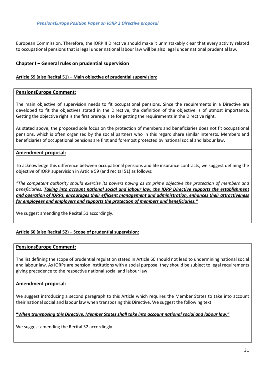European Commission. Therefore, the IORP II Directive should make it unmistakably clear that every activity related to occupational pensions that is legal under national labour law will be also legal under national prudential law.

## Chapter I – General rules on prudential supervision

#### Article 59 (also Recital 51) – Main objective of prudential supervision:

#### PensionsEurope Comment:

The main objective of supervision needs to fit occupational pensions. Since the requirements in a Directive are developed to fit the objectives stated in the Directive, the definition of the objective is of utmost importance. Getting the objective right is the first prerequisite for getting the requirements in the Directive right.

As stated above, the proposed sole focus on the protection of members and beneficiaries does not fit occupational pensions, which is often organised by the social partners who in this regard share similar interests. Members and beneficiaries of occupational pensions are first and foremost protected by national social and labour law.

## Amendment proposal:

To acknowledge this difference between occupational pensions and life insurance contracts, we suggest defining the objective of IORP supervision in Article 59 (and recital 51) as follows:

"The competent authority should exercise its powers having as its prime objective the protection of members and beneficiaries. Taking into account national social and labour law, the IORP Directive supports the establishment and operation of IORPs, encourages their efficient management and administration, enhances their attractiveness for employees and employers and supports the protection of members and beneficiaries."

We suggest amending the Recital 51 accordingly.

## Article 60 (also Recital 52) – Scope of prudential supervision:

#### PensionsEurope Comment:

The list defining the scope of prudential regulation stated in Article 60 should not lead to undermining national social and labour law. As IORPs are pension institutions with a social purpose, they should be subject to legal requirements giving precedence to the respective national social and labour law.

#### Amendment proposal:

We suggest introducing a second paragraph to this Article which requires the Member States to take into account their national social and labour law when transposing this Directive. We suggest the following text:

#### "When transposing this Directive, Member States shall take into account national social and labour law."

We suggest amending the Recital 52 accordingly.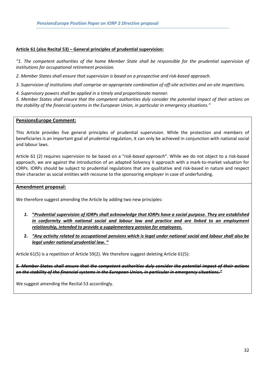#### Article 61 (also Recital 53) – General principles of prudential supervision:

"1. The competent authorities of the home Member State shall be responsible for the prudential supervision of institutions for occupational retirement provision.

2. Member States shall ensure that supervision is based on a prospective and risk-based approach.

3. Supervision of institutions shall comprise an appropriate combination of off-site activities and on-site inspections.

4. Supervisory powers shall be applied in a timely and proportionate manner.

5. Member States shall ensure that the competent authorities duly consider the potential impact of their actions on the stability of the financial systems in the European Union, in particular in emergency situations."

## PensionsEurope Comment:

This Article provides five general principles of prudential supervision. While the protection and members of beneficiaries is an important goal of prudential regulation, it can only be achieved in conjunction with national social and labour laws.

Article 61 (2) requires supervision to be based on a "risk-based approach". While we do not object to a risk-based approach, we are against the introduction of an adapted Solvency II approach with a mark-to-market valuation for IORPs. IORPs should be subject to prudential regulations that are qualitative and risk-based in nature and respect their character as social entities with recourse to the sponsoring employer in case of underfunding.

## Amendment proposal:

We therefore suggest amending the Article by adding two new principles:

- 1. "Prudential supervision of IORPs shall acknowledge that IORPs have a social purpose. They are established in conformity with national social and labour law and practice and are linked to an employment relationship, intended to provide a supplementary pension for employees.
- 2. "Any activity related to occupational pensions which is legal under national social and labour shall also be legal under national prudential law. "

Article 61(5) is a repetition of Article 59(2). We therefore suggest deleting Article 61(5):

5. Member States shall ensure that the competent authorities duly consider the potential impact of their actions on the stability of the financial systems in the European Union, in particular in emergency situations."

We suggest amending the Recital 53 accordingly.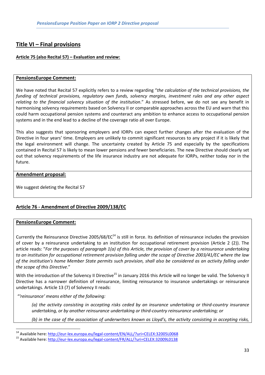# Title VI – Final provisions

## Article 75 (also Recital 57) – Evaluation and review:

## PensionsEurope Comment:

We have noted that Recital 57 explicitly refers to a review regarding "the calculation of the technical provisions, the funding of technical provisions, regulatory own funds, solvency margins, investment rules and any other aspect relating to the financial solvency situation of the institution." As stressed before, we do not see any benefit in harmonising solvency requirements based on Solvency II or comparable approaches across the EU and warn that this could harm occupational pension systems and counteract any ambition to enhance access to occupational pension systems and in the end lead to a decline of the coverage ratio all over Europe.

This also suggests that sponsoring employers and IORPs can expect further changes after the evaluation of the Directive in four years' time. Employers are unlikely to commit significant resources to any project if it is likely that the legal environment will change. The uncertainty created by Article 75 and especially by the specifications contained in Recital 57 is likely to mean lower pensions and fewer beneficiaries. The new Directive should clearly set out that solvency requirements of the life insurance industry are not adequate for IORPs, neither today nor in the future.

## Amendment proposal:

We suggest deleting the Recital 57

## Article 76 - Amendment of Directive 2009/138/EC

## PensionsEurope Comment:

 $\overline{a}$ 

Currently the Reinsurance Directive 2005/68/EC<sup>14</sup> is still in force. Its definition of reinsurance includes the provision of cover by a reinsurance undertaking to an institution for occupational retirement provision (Article 2 (2)). The article reads: "For the purposes of paragraph 1(a) of this Article, the provision of cover by a reinsurance undertaking to an institution for occupational retirement provision falling under the scope of Directive 2003/41/EC where the law of the institution's home Member State permits such provision, shall also be considered as an activity falling under the scope of this Directive."

With the introduction of the Solvency II Directive<sup>15</sup> in January 2016 this Article will no longer be valid. The Solvency II Directive has a narrower definition of reinsurance, limiting reinsurance to insurance undertakings or reinsurance undertakings. Article 13 (7) of Solvency II reads:

"'reinsurance' means either of the following:

(a) the activity consisting in accepting risks ceded by an insurance undertaking or third-country insurance undertaking, or by another reinsurance undertaking or third-country reinsurance undertaking; or

(b) in the case of the association of underwriters known as Lloyd's, the activity consisting in accepting risks,

<sup>&</sup>lt;sup>14</sup> Available here: http://eur-lex.europa.eu/legal-content/EN/ALL/?uri=CELEX:32005L0068

<sup>15</sup> Available here: http://eur-lex.europa.eu/legal-content/FR/ALL/?uri=CELEX:32009L0138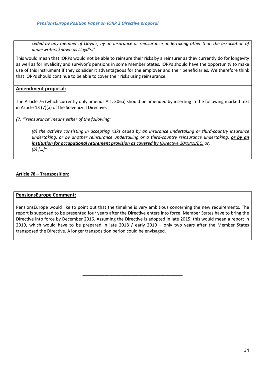ceded by any member of Lloyd's, by an insurance or reinsurance undertaking other than the association of underwriters known as Lloyd's;"

This would mean that IORPs would not be able to reinsure their risks by a reinsurer as they currently do for longevity as well as for invalidity and survivor's pensions in some Member States. IORPs should have the opportunity to make use of this instrument if they consider it advantageous for the employer and their beneficiaries. We therefore think that IORPs should continue to be able to cover their risks using reinsurance.

## Amendment proposal:

The Article 76 (which currently only amends Art. 306a) should be amended by inserting in the following marked text in Article 13 (7)(a) of the Solvency II Directive:

(7) "'reinsurance' means either of the following:

(a) the activity consisting in accepting risks ceded by an insurance undertaking or third-country insurance undertaking, or by another reinsurance undertaking or a third-country reinsurance undertaking, or by an institution for occupational retirement provision as covered by (Directive 20xx/xx/EC) or, (b)  $[...]''$ 

## Article 78 – Transposition:

#### PensionsEurope Comment:

PensionsEurope would like to point out that the timeline is very ambitious concerning the new requirements. The report is supposed to be presented four years after the Directive enters into force. Member States have to bring the Directive into force by December 2016. Assuming the Directive is adopted in late 2015, this would mean a report in 2019, which would have to be prepared in late 2018 / early 2019 – only two years after the Member States transposed the Directive. A longer transposition period could be envisaged.

\_\_\_\_\_\_\_\_\_\_\_\_\_\_\_\_\_\_\_\_\_\_\_\_\_\_\_\_\_\_\_\_\_\_\_\_\_\_\_\_\_